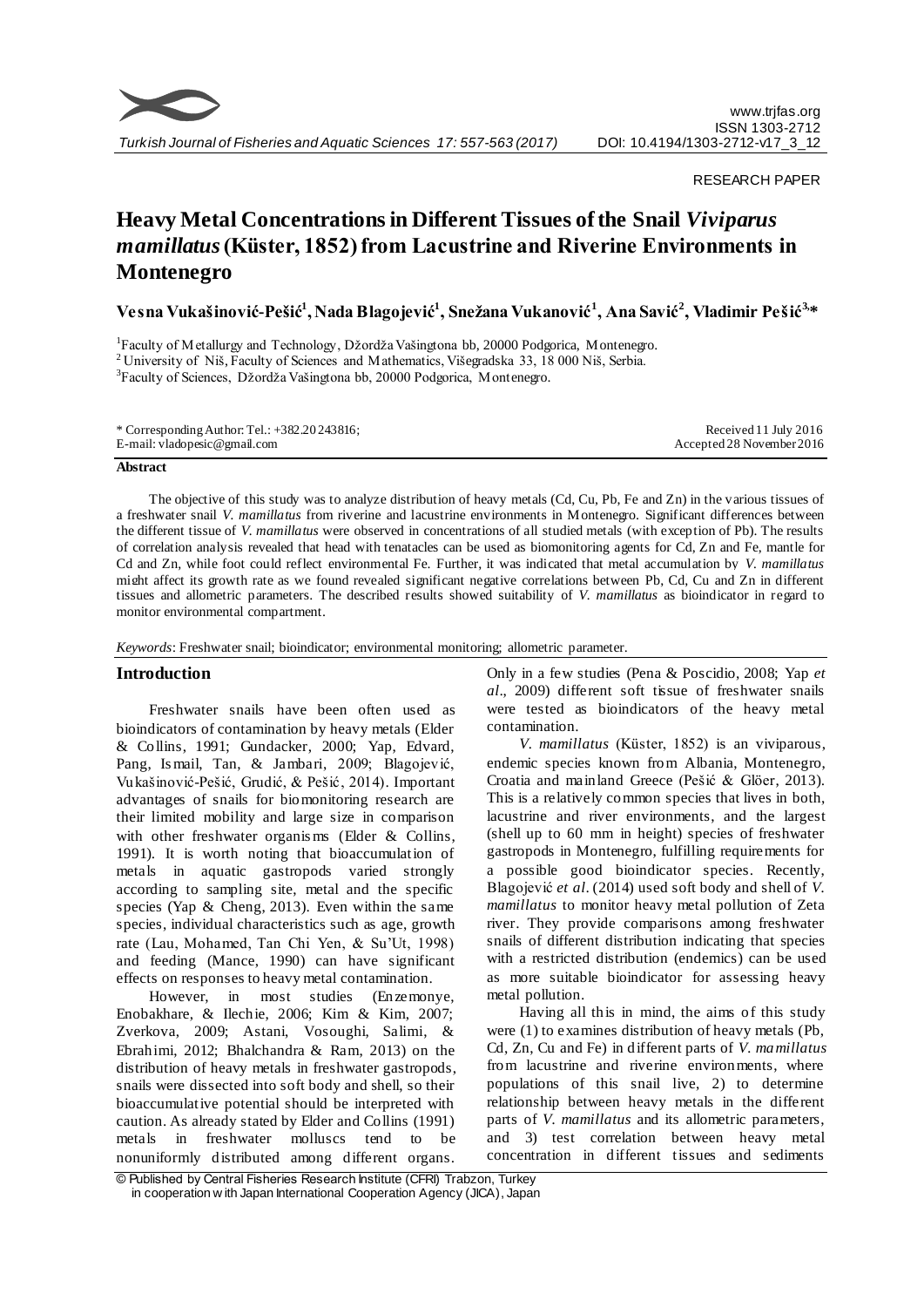

RESEARCH PAPER

# **Heavy Metal Concentrations in Different Tissues of the Snail** *Viviparus mamillatus***(Küster, 1852) from Lacustrine and Riverine Environments in Montenegro**

**Vesna Vukašinović-Pešić<sup>1</sup> , Nada Blagojević<sup>1</sup> , Snežana Vukanović<sup>1</sup> , Ana Savić<sup>2</sup> , Vladimir Pešić3, \***

<sup>1</sup>Faculty of Metallurgy and Technology, Džordža Vašingtona bb, 20000 Podgorica, Montenegro. <sup>2</sup> University of Niš, Faculty of Sciences and Mathematics, Višegradska 33, 18 000 Niš, Serbia. <sup>3</sup>Faculty of Sciences, Džordža Vašingtona bb, 20000 Podgorica, Montenegro.

#### **Abstract**

The objective of this study was to analyze distribution of heavy metals (Cd, Cu, Pb, Fe and Zn) in the various tissues of a freshwater snail *V. mamillatus* from riverine and lacustrine environments in Montenegro. Significant differences between the different tissue of *V. mamillatus* were observed in concentrations of all studied metals (with exception of Pb). The results of correlation analysis revealed that head with tenatacles can be used as biomonitoring agents for Cd, Zn and Fe, mantle for Cd and Zn, while foot could reflect environmental Fe. Further, it was indicated that metal accumulation by *V. mamillatus* might affect its growth rate as we found revealed significant negative correlations between Pb, Cd, Cu and Zn in different tissues and allometric parameters. The described results showed suitability of *V. mamillatus* as bioindicator in regard to monitor environmental compartment.

*Keywords*: Freshwater snail; bioindicator; environmental monitoring; allometric parameter.

## **Introduction**

Freshwater snails have been often used as bioindicators of contamination by heavy metals (Elder & Collins, 1991; Gundacker, 2000; Yap, Edvard, Pang, Is mail, Tan, & Jambari, 2009; Blagojević, Vukašinović-Pešić, Grudić, & Pešić, 2014). Important advantages of snails for biomonitoring research are their limited mobility and large size in comparison with other freshwater organisms (Elder & Collins, 1991). It is worth noting that bioaccumulation of metals in aquatic gastropods varied strongly according to sampling site, metal and the specific species (Yap & Cheng, 2013). Even within the same species, individual characteristics such as age, growth rate (Lau, Mohamed, Tan Chi Yen, & Su'Ut, 1998) and feeding (Mance, 1990) can have significant effects on responses to heavy metal contamination.

However, in most studies (Enzemonye, Enobakhare, & Ilechie, 2006; Kim & Kim, 2007; Zverkova, 2009; Astani, Vosoughi, Salimi, & Ebrahimi, 2012; Bhalchandra & Ram, 2013) on the distribution of heavy metals in freshwater gastropods, snails were dissected into soft body and shell, so their bioaccumulative potential should be interpreted with caution. As already stated by Elder and Collins (1991) metals in freshwater molluscs tend to be nonuniformly distributed among different organs.

Only in a few studies (Pena & Poscidio, 2008; Yap *et al*., 2009) different soft tissue of freshwater snails were tested as bioindicators of the heavy metal contamination.

*V. mamillatus* (Küster, 1852) is an viviparous, endemic species known from Albania, Montenegro, Croatia and mainland Greece (Pešić & Glöer, 2013). This is a relatively common species that lives in both, lacustrine and river environments, and the largest (shell up to 60 mm in height) species of freshwater gastropods in Montenegro, fulfilling requirements for a possible good bioindicator species. Recently, Blagojević *et al*. (2014) used soft body and shell of *V. mamillatus* to monitor heavy metal pollution of Zeta river. They provide comparisons among freshwater snails of different distribution indicating that species with a restricted distribution (endemics) can be used as more suitable bioindicator for assessing heavy metal pollution.

Having all this in mind, the aims of this study were (1) to examines distribution of heavy metals (Pb, Cd, Zn, Cu and Fe) in different parts of *V. mamillatus* from lacustrine and riverine environments, where populations of this snail live, 2) to determine relationship between heavy metals in the different parts of *V. mamillatus* and its allometric parameters, and 3) test correlation between heavy metal concentration in different tissues and sediments

<sup>©</sup> Published by Central Fisheries Research Institute (CFRI) Trabzon, Turkey in cooperation w ith Japan International Cooperation Agency (JICA), Japan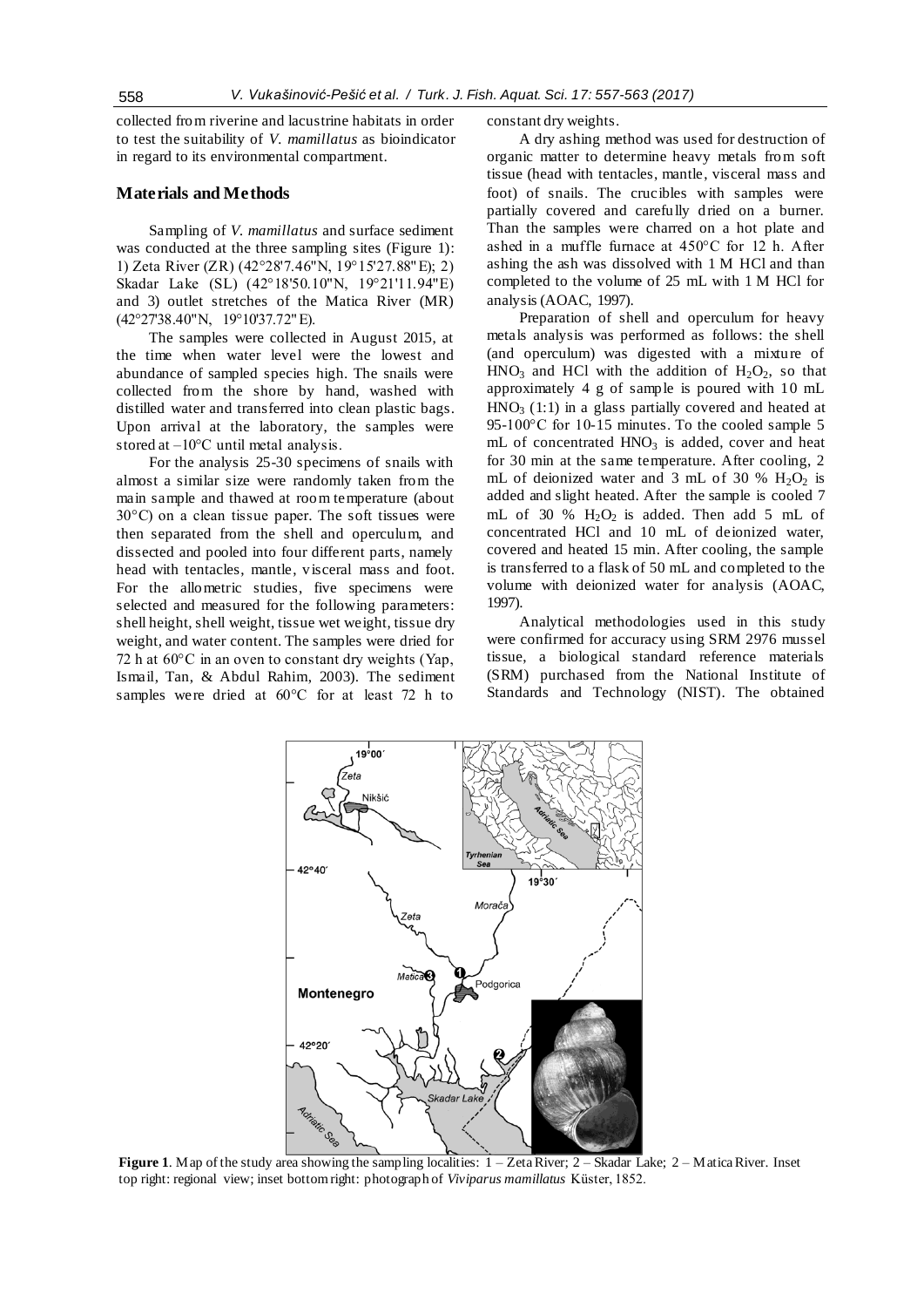collected from riverine and lacustrine habitats in order to test the suitability of *V. mamillatus* as bioindicator in regard to its environmental compartment.

## **Materials and Methods**

Sampling of *V. mamillatus* and surface sediment was conducted at the three sampling sites (Figure 1): 1) Zeta River (ZR) (42°28'7.46"N, 19°15'27.88" E); 2) Skadar Lake (SL) (42°18'50.10"N, 19°21'11.94"E) and 3) outlet stretches of the Matica River (MR) (42°27'38.40"N, 19°10'37.72" E).

The samples were collected in August 2015, at the time when water level were the lowest and abundance of sampled species high. The snails were collected from the shore by hand, washed with distilled water and transferred into clean plastic bags. Upon arrival at the laboratory, the samples were stored at  $-10^{\circ}$ C until metal analysis.

For the analysis 25-30 specimens of snails with almost a similar size were randomly taken from the main sample and thawed at room temperature (about 30°C) on a clean tissue paper. The soft tissues were then separated from the shell and operculum, and dissected and pooled into four different parts, namely head with tentacles, mantle, visceral mass and foot. For the allometric studies, five specimens were selected and measured for the following parameters: shell height, shell weight, tissue wet weight, tissue dry weight, and water content. The samples were dried for 72 h at 60°C in an oven to constant dry weights (Yap, Ismail, Tan, & Abdul Rahim, 2003). The sediment samples were dried at 60°C for at least 72 h to

constant dry weights.

A dry ashing method was used for destruction of organic matter to determine heavy metals from soft tissue (head with tentacles, mantle, visceral mass and foot) of snails. The crucibles with samples were partially covered and carefully dried on a burner. Than the samples were charred on a hot plate and ashed in a muffle furnace at 450°C for 12 h. After ashing the ash was dissolved with 1 M HCl and than completed to the volume of 25 mL with 1 M HCl for analysis (AOAC, 1997).

Preparation of shell and operculum for heavy metals analysis was performed as follows: the shell (and operculum) was digested with a mixture of  $HNO<sub>3</sub>$  and HCl with the addition of  $H<sub>2</sub>O<sub>2</sub>$ , so that approximately 4 g of sample is poured with 10 mL  $HNO<sub>3</sub>$  (1:1) in a glass partially covered and heated at 95-100°C for 10-15 minutes. To the cooled sample 5 mL of concentrated  $HNO<sub>3</sub>$  is added, cover and heat for 30 min at the same temperature. After cooling, 2 mL of deionized water and 3 mL of 30 %  $H_2O_2$  is added and slight heated. After the sample is cooled 7 mL of 30 %  $H_2O_2$  is added. Then add 5 mL of concentrated HCl and 10 mL of deionized water, covered and heated 15 min. After cooling, the sample is transferred to a flask of 50 mL and completed to the volume with deionized water for analysis (AOAC, 1997).

Analytical methodologies used in this study were confirmed for accuracy using SRM 2976 mussel tissue, a biological standard reference materials (SRM) purchased from the National Institute of Standards and Technology (NIST). The obtained



**Figure 1**. Map of the study area showing the sampling localities: 1 – Zeta River; 2 – Skadar Lake; 2 – Matica River. Inset top right: regional view; inset bottom right: photograph of *Viviparus mamillatus* Küster, 1852.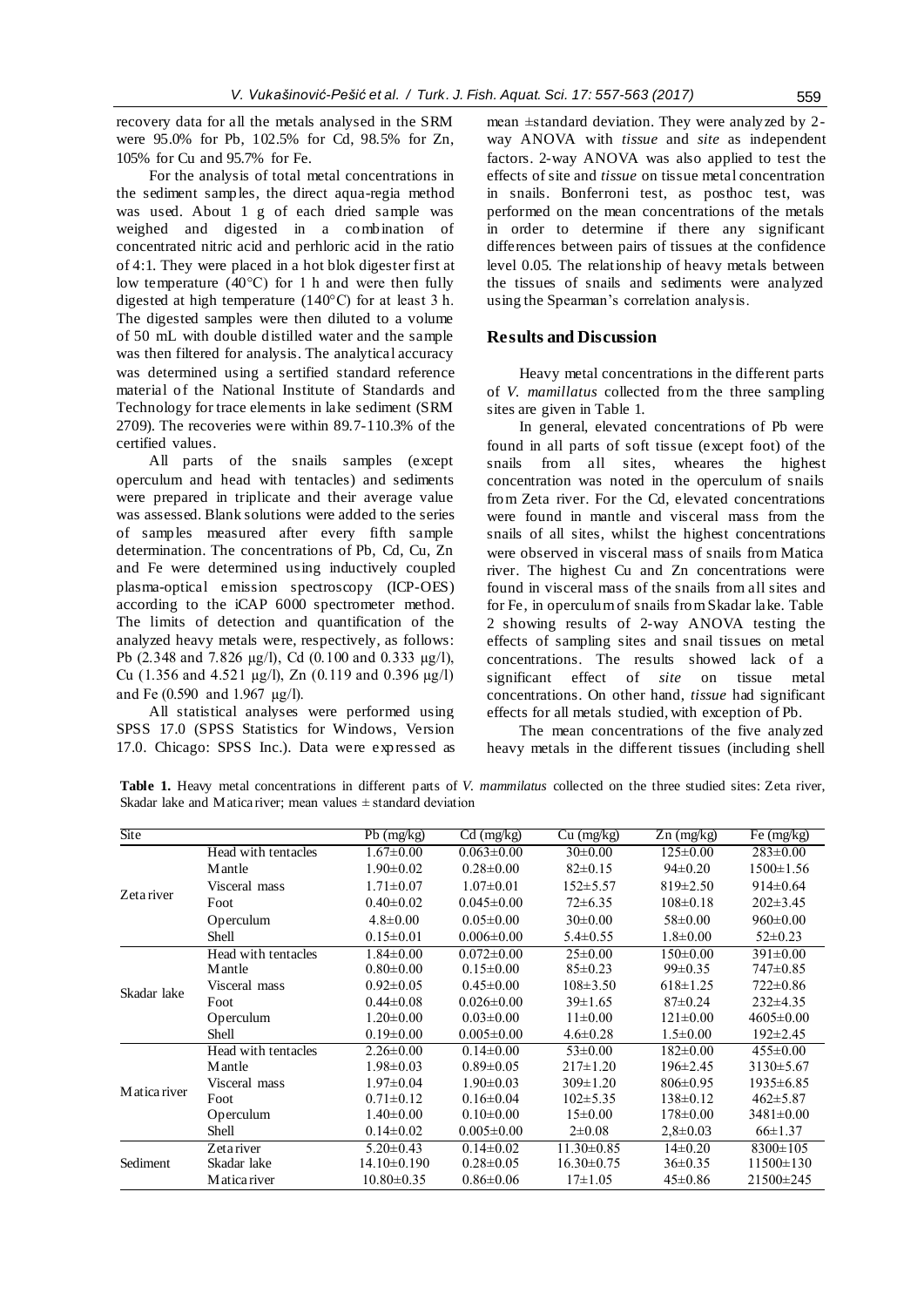recovery data for all the metals analysed in the SRM were 95.0% for Pb, 102.5% for Cd, 98.5% for Zn, 105% for Cu and 95.7% for Fe.

For the analysis of total metal concentrations in the sediment samples, the direct aqua-regia method was used. About 1 g of each dried sample was weighed and digested in a combination of concentrated nitric acid and perhloric acid in the ratio of 4:1. They were placed in a hot blok digester first at low temperature (40°C) for 1 h and were then fully digested at high temperature (140°C) for at least 3 h. The digested samples were then diluted to a volume of 50 mL with double distilled water and the sample was then filtered for analysis. The analytical accuracy was determined using a sertified standard reference material of the National Institute of Standards and Technology for trace elements in lake sediment (SRM 2709). The recoveries were within 89.7-110.3% of the certified values.

All parts of the snails samples (except operculum and head with tentacles) and sediments were prepared in triplicate and their average value was assessed. Blank solutions were added to the series of samples measured after every fifth sample determination. The concentrations of Pb, Cd, Cu, Zn and Fe were determined using inductively coupled plasma-optical emission spectroscopy (ICP-OES) according to the iCAP 6000 spectrometer method. The limits of detection and quantification of the analyzed heavy metals were, respectively, as follows: Pb (2.348 and 7.826 µg/l), Cd (0.100 and 0.333 µg/l), Cu (1.356 and 4.521 µg/l), Zn (0.119 and 0.396 µg/l) and Fe (0.590 and 1.967 µg/l).

All statistical analyses were performed using SPSS 17.0 (SPSS Statistics for Windows, Version 17.0. Chicago: SPSS Inc.). Data were expressed as mean ±standard deviation. They were analyzed by 2 way ANOVA with *tissue* and *site* as independent factors. 2-way ANOVA was also applied to test the effects of site and *tissue* on tissue metal concentration in snails. Bonferroni test, as posthoc test, was performed on the mean concentrations of the metals in order to determine if there any significant differences between pairs of tissues at the confidence level 0.05. The relationship of heavy metals between the tissues of snails and sediments were analyzed using the Spearman's correlation analysis.

## **Results and Discussion**

Heavy metal concentrations in the different parts of *V. mamillatus* collected from the three sampling sites are given in Table 1.

In general, elevated concentrations of Pb were found in all parts of soft tissue (except foot) of the snails from all sites, wheares the highest concentration was noted in the operculum of snails from Zeta river. For the Cd, elevated concentrations were found in mantle and visceral mass from the snails of all sites, whilst the highest concentrations were observed in visceral mass of snails from Matica river. The highest Cu and Zn concentrations were found in visceral mass of the snails from all sites and for Fe, in operculum of snails from Skadar lake. Table 2 showing results of 2-way ANOVA testing the effects of sampling sites and snail tissues on metal concentrations. The results showed lack of a significant effect of *site* on tissue metal concentrations. On other hand, *tissue* had significant effects for all metals studied, with exception of Pb.

The mean concentrations of the five analyzed heavy metals in the different tissues (including shell

**Table 1.** Heavy metal concentrations in different parts of *V. mammilatus* collected on the three studied sites: Zeta river, Skadar lake and Matica river; mean values  $\pm$  standard deviation

| <b>Site</b>  |                     | Pb (mg/kg)       | $Cd$ (mg/kg)     | $Cu$ (mg/kg)     | $Zn$ (mg/kg)   | Fe (mg/kg)      |
|--------------|---------------------|------------------|------------------|------------------|----------------|-----------------|
|              | Head with tentacles | $1.67 \pm 0.00$  | $0.063 \pm 0.00$ | $30\pm0.00$      | $125 \pm 0.00$ | $283 \pm 0.00$  |
|              | <b>M</b> antle      | $1.90 \pm 0.02$  | $0.28 \pm 0.00$  | $82 \pm 0.15$    | $94\pm0.20$    | $1500 \pm 1.56$ |
|              | Visceral mass       | $1.71 \pm 0.07$  | $1.07 \pm 0.01$  | $152 \pm 5.57$   | $819 \pm 2.50$ | $914\pm0.64$    |
| Zetariver    | Foot                | $0.40 \pm 0.02$  | $0.045 \pm 0.00$ | $72 \pm 6.35$    | $108 \pm 0.18$ | $202 \pm 3.45$  |
|              | Operculum           | $4.8 \pm 0.00$   | $0.05 \pm 0.00$  | $30\pm0.00$      | $58 \pm 0.00$  | $960 \pm 0.00$  |
|              | Shell               | $0.15 \pm 0.01$  | $0.006 \pm 0.00$ | $5.4 \pm 0.55$   | $1.8 \pm 0.00$ | $52 \pm 0.23$   |
|              | Head with tentacles | $1.84 \pm 0.00$  | $0.072 \pm 0.00$ | $25\pm0.00$      | $150 \pm 0.00$ | $391 \pm 0.00$  |
|              | Mantle              | $0.80 \pm 0.00$  | $0.15 \pm 0.00$  | $85 \pm 0.23$    | $99 \pm 0.35$  | 747±0.85        |
| Skadar lake  | Visceral mass       | $0.92 \pm 0.05$  | $0.45 \pm 0.00$  | $108 \pm 3.50$   | $618 \pm 1.25$ | $722 \pm 0.86$  |
|              | Foot                | $0.44 \pm 0.08$  | $0.026 \pm 0.00$ | $39 \pm 1.65$    | $87 \pm 0.24$  | $232 \pm 4.35$  |
|              | Operculum           | $1.20 \pm 0.00$  | $0.03 \pm 0.00$  | $11\pm0.00$      | $121 \pm 0.00$ | $4605 \pm 0.00$ |
|              | Shell               | $0.19 \pm 0.00$  | $0.005 \pm 0.00$ | $4.6 \pm 0.28$   | $1.5 \pm 0.00$ | $192 \pm 2.45$  |
|              | Head with tentacles | $2.26 \pm 0.00$  | $0.14 \pm 0.00$  | $53 \pm 0.00$    | $182 \pm 0.00$ | $455 \pm 0.00$  |
|              | Mantle              | $1.98 \pm 0.03$  | $0.89 \pm 0.05$  | $217 \pm 1.20$   | $196 \pm 2.45$ | $3130 \pm 5.67$ |
|              | Visceral mass       | $1.97 \pm 0.04$  | $1.90 \pm 0.03$  | $309 \pm 1.20$   | $806 \pm 0.95$ | 1935±6.85       |
| Matica river | Foot                | $0.71 \pm 0.12$  | $0.16 \pm 0.04$  | $102 \pm 5.35$   | $138 \pm 0.12$ | $462 \pm 5.87$  |
|              | Operculum           | $1.40 \pm 0.00$  | $0.10 \pm 0.00$  | $15\pm0.00$      | $178 \pm 0.00$ | $3481 \pm 0.00$ |
|              | Shell               | $0.14 \pm 0.02$  | $0.005 \pm 0.00$ | $2 \pm 0.08$     | $2,8 \pm 0.03$ | $66 \pm 1.37$   |
|              | Zetariver           | $5.20 \pm 0.43$  | $0.14 \pm 0.02$  | $11.30 \pm 0.85$ | $14\pm 0.20$   | $8300 \pm 105$  |
| Sediment     | Skadar lake         | $14.10\pm0.190$  | $0.28 \pm 0.05$  | $16.30 \pm 0.75$ | $36 \pm 0.35$  | $11500 \pm 130$ |
|              | M atica river       | $10.80 \pm 0.35$ | $0.86 \pm 0.06$  | $17\pm1.05$      | $45 \pm 0.86$  | $21500 \pm 245$ |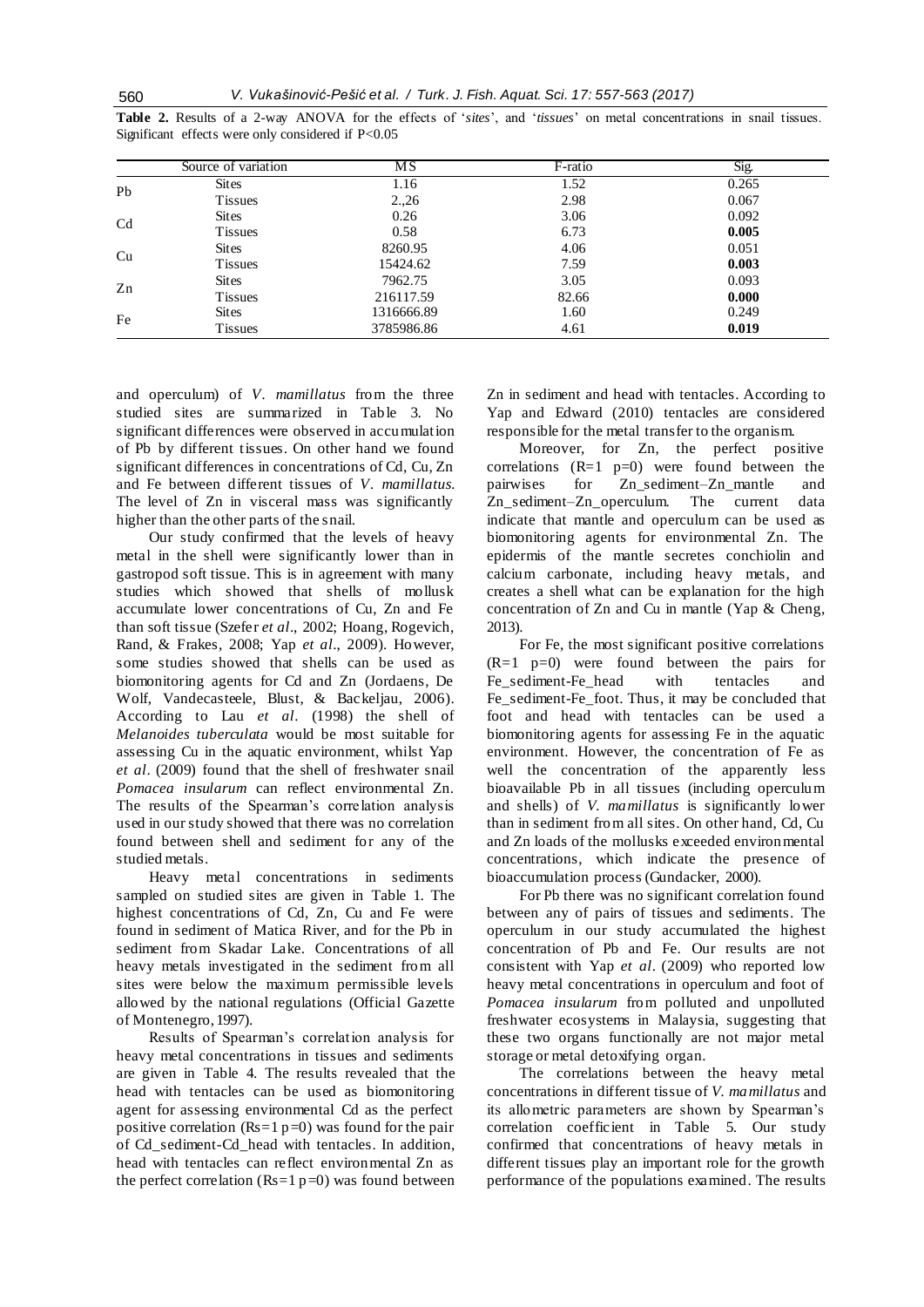|                | Source of variation | $\overline{\text{MS}}$ | F-ratio | Sig.  |
|----------------|---------------------|------------------------|---------|-------|
| Pb             | <b>Sites</b>        | 1.16                   | 1.52    | 0.265 |
|                | <b>Tissues</b>      | 2,26                   | 2.98    | 0.067 |
| C <sub>d</sub> | <b>Sites</b>        | 0.26                   | 3.06    | 0.092 |
|                | <b>Tissues</b>      | 0.58                   | 6.73    | 0.005 |
| Cu             | <b>Sites</b>        | 8260.95                | 4.06    | 0.051 |
|                | <b>Tissues</b>      | 15424.62               | 7.59    | 0.003 |
| Zn             | <b>Sites</b>        | 7962.75                | 3.05    | 0.093 |
|                | <b>Tissues</b>      | 216117.59              | 82.66   | 0.000 |
| Fe             | <b>Sites</b>        | 1316666.89             | 1.60    | 0.249 |
|                | <b>Tissues</b>      | 3785986.86             | 4.61    | 0.019 |

**Table 2.** Results of a 2-way ANOVA for the effects of '*sites*', and '*tissues*' on metal concentrations in snail tissues. Significant effects were only considered if P<0.05

and operculum) of *V. mamillatus* from the three studied sites are summarized in Table 3. No significant differences were observed in accumulation of Pb by different tissues. On other hand we found significant differences in concentrations of Cd, Cu, Zn and Fe between different tissues of *V. mamillatus.*  The level of Zn in visceral mass was significantly higher than the other parts of the snail.

Our study confirmed that the levels of heavy metal in the shell were significantly lower than in gastropod soft tissue. This is in agreement with many studies which showed that shells of mollusk accumulate lower concentrations of Cu, Zn and Fe than soft tissue (Szefer *et al*., 2002; Hoang, Rogevich, Rand, & Frakes, 2008; Yap *et al*., 2009). However, some studies showed that shells can be used as biomonitoring agents for Cd and Zn (Jordaens, De Wolf, Vandecasteele, Blust, & Backeljau, 2006). According to Lau *et al*. (1998) the shell of *Melanoides tuberculata* would be most suitable for assessing Cu in the aquatic environment, whilst Yap *et al*. (2009) found that the shell of freshwater snail *Pomacea insularum* can reflect environmental Zn. The results of the Spearman's correlation analysis used in our study showed that there was no correlation found between shell and sediment for any of the studied metals.

Heavy metal concentrations in sediments sampled on studied sites are given in Table 1. The highest concentrations of Cd, Zn, Cu and Fe were found in sediment of Matica River, and for the Pb in sediment from Skadar Lake. Concentrations of all heavy metals investigated in the sediment from all sites were below the maximum permissible levels allowed by the national regulations (Official Gazette of Montenegro, 1997).

Results of Spearman's correlation analysis for heavy metal concentrations in tissues and sediments are given in Table 4. The results revealed that the head with tentacles can be used as biomonitoring agent for assessing environmental Cd as the perfect positive correlation ( $Rs=1$  p=0) was found for the pair of Cd\_sediment-Cd\_head with tentacles. In addition, head with tentacles can reflect environmental Zn as the perfect correlation ( $Rs=1 p=0$ ) was found between Zn in sediment and head with tentacles. According to Yap and Edward (2010) tentacles are considered responsible for the metal transfer to the organism.

Moreover, for Zn, the perfect positive correlations  $(R=1 \text{ p=0})$  were found between the pairwises for Zn\_sediment–Zn\_mantle and Zn sediment–Zn operculum. The current data indicate that mantle and operculum can be used as biomonitoring agents for environmental Zn. The epidermis of the mantle secretes conchiolin and calcium carbonate, including heavy metals, and creates a shell what can be explanation for the high concentration of Zn and Cu in mantle (Yap & Cheng, 2013).

For Fe, the most significant positive correlations  $(R=1 \text{ p=0})$  were found between the pairs for Fe\_sediment-Fe\_head with tentacles and Fe\_sediment-Fe\_foot. Thus, it may be concluded that foot and head with tentacles can be used a biomonitoring agents for assessing Fe in the aquatic environment. However, the concentration of Fe as well the concentration of the apparently less bioavailable Pb in all tissues (including operculum and shells) of *V. mamillatus* is significantly lower than in sediment from all sites. On other hand, Cd, Cu and Zn loads of the mollusks exceeded environmental concentrations, which indicate the presence of bioaccumulation process (Gundacker, 2000).

For Pb there was no significant correlation found between any of pairs of tissues and sediments. The operculum in our study accumulated the highest concentration of Pb and Fe. Our results are not consistent with Yap *et al*. (2009) who reported low heavy metal concentrations in operculum and foot of *Pomacea insularum* from polluted and unpolluted freshwater ecosystems in Malaysia, suggesting that these two organs functionally are not major metal storage or metal detoxifying organ.

The correlations between the heavy metal concentrations in different tissue of *V. mamillatus* and its allometric parameters are shown by Spearman's correlation coefficient in Table 5. Our study confirmed that concentrations of heavy metals in different tissues play an important role for the growth performance of the populations examined. The results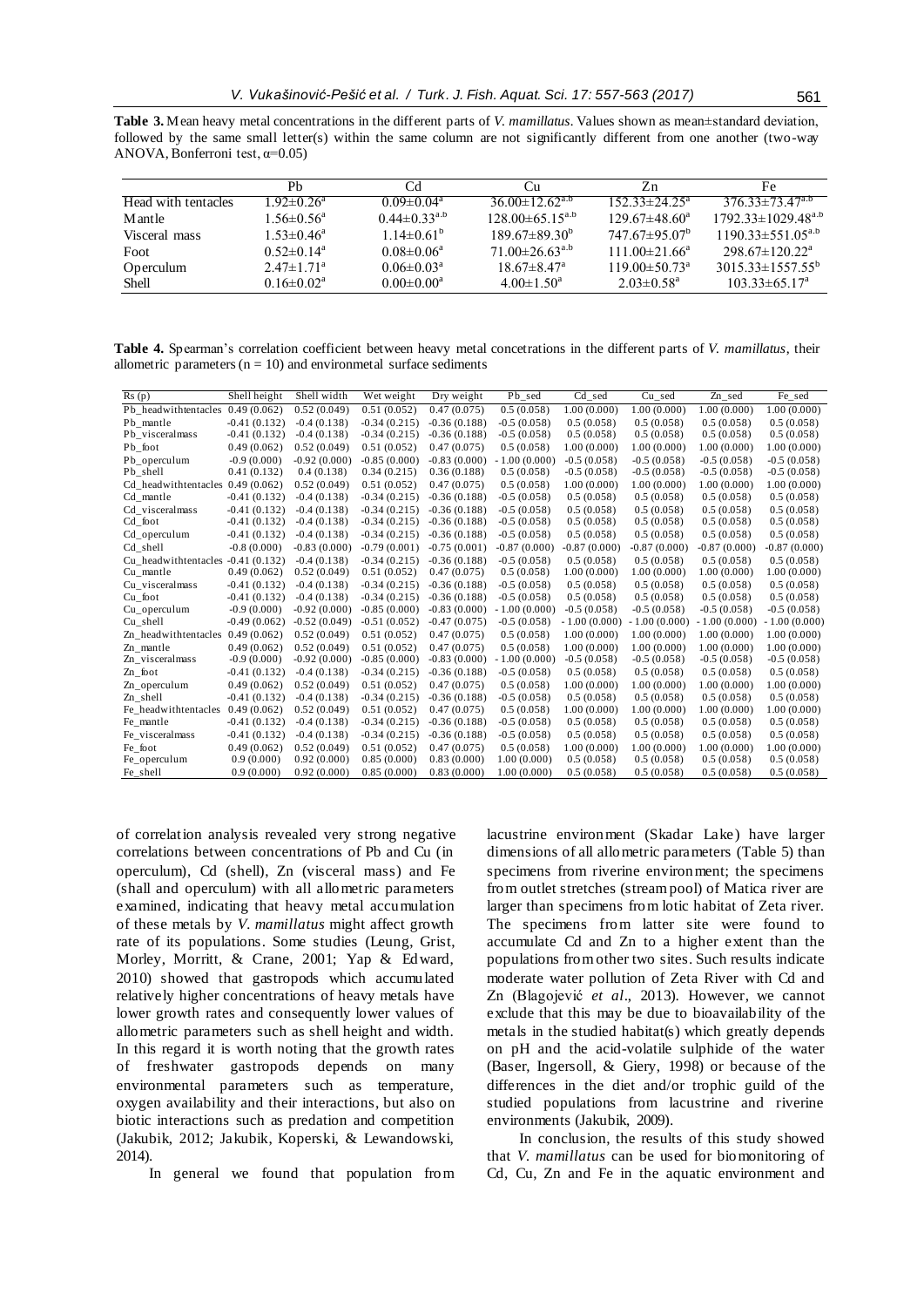|                     | Ph                           | Cd                           | Сu                               | Zn                              | Fe                             |
|---------------------|------------------------------|------------------------------|----------------------------------|---------------------------------|--------------------------------|
| Head with tentacles | $1.92 \pm 0.26$ <sup>a</sup> | $0.09 \pm 0.04^{\circ}$      | 36 00 $\pm$ 12 62 <sup>a.b</sup> | $152.33 \pm 24.25^{\circ}$      | $376.33 \pm 73.47^{a.6}$       |
| M ant le            | $1.56 \pm 0.56^a$            | $0.44 \pm 0.33^{a.b}$        | $128.00\pm 65.15^{a.b}$          | $129.67\pm48.60^a$              | $1792.33 \pm 1029.48^{a.b}$    |
| Visceral mass       | $1.53 \pm 0.46^a$            | $1.14\pm0.61^{\rm b}$        | $189.67\pm89.30^{b}$             | $747.67 \pm 95.07^{\circ}$      | $1190.33 \pm 551.05^{a,b}$     |
| Foot                | $0.52 \pm 0.14^a$            | $0.08 \pm 0.06^a$            | $71.00\pm26.63^{a.b}$            | $111.00 \pm 21.66^a$            | $298.67 \pm 120.22^{\text{a}}$ |
| Operculum           | $2.47 \pm 1.71^a$            | 0.06 $\pm$ 0.03 <sup>a</sup> | $18.67 \pm 8.47$ <sup>a</sup>    | $119.00 \pm 50.73$ <sup>a</sup> | $3015.33\pm1557.55^{b}$        |
| Shell               | $0.16 \pm 0.02^a$            | $0.00 \pm 0.00^a$            | $4.00 \pm 1.50^{\circ}$          | $2.03 \pm 0.58$ <sup>a</sup>    | $103.33 \pm 65.17^{\circ}$     |

**Table 4.** Spearman's correlation coefficient between heavy metal concetrations in the different parts of *V. mamillatus*, their allometric parameters ( $n = 10$ ) and environmetal surface sediments

| Shell height<br>Shell width<br>Pb sed<br>$\overline{C}d\_sed$<br>Cu_sed<br>Fe_sed<br>Rs(p)<br>Wet weight<br>Dry weight<br>Zn_sed<br>Pb headwithtentacles 0.49 (0.062)<br>0.52(0.049)<br>0.51(0.052)<br>0.47(0.075)<br>0.5(0.058)<br>1.00(0.000)<br>1.00(0.000)<br>1.00(0.000)<br>1.00(0.000)<br>$-0.41(0.132)$<br>$-0.4(0.138)$<br>$-0.34(0.215)$<br>$-0.36(0.188)$<br>$-0.5(0.058)$<br>0.5(0.058)<br>0.5(0.058)<br>0.5(0.058)<br>0.5(0.058)<br>Pb mantle<br>Pb_visceralmass<br>$-0.41(0.132)$<br>$-0.4(0.138)$<br>$-0.34(0.215)$<br>$-0.5(0.058)$<br>0.5(0.058)<br>0.5(0.058)<br>0.5(0.058)<br>0.5(0.058)<br>$-0.36(0.188)$<br>Pb foot<br>0.49(0.062)<br>0.52(0.049)<br>0.51(0.052)<br>0.47(0.075)<br>0.5(0.058)<br>1.00(0.000)<br>1.00(0.000)<br>1.00(0.000)<br>1.00(0.000)<br>$-0.9(0.000)$<br>$-0.92(0.000)$<br>$-0.85(0.000)$<br>Pb operculum<br>$-0.83(0.000)$<br>$-1.00(0.000)$<br>$-0.5(0.058)$<br>$-0.5(0.058)$<br>$-0.5(0.058)$<br>$-0.5(0.058)$<br>Pb shell<br>0.4(0.138)<br>0.34(0.215)<br>$-0.5(0.058)$<br>$-0.5(0.058)$<br>0.41(0.132)<br>0.36(0.188)<br>0.5(0.058)<br>$-0.5(0.058)$<br>$-0.5(0.058)$<br>Cd headwithtentacles $0.49(0.062)$<br>0.52(0.049)<br>0.51(0.052)<br>0.47(0.075)<br>0.5(0.058)<br>1.00(0.000)<br>1.00(0.000)<br>1.00(0.000)<br>1.00(0.000)<br>$-0.41(0.132)$<br>$-0.4(0.138)$<br>$-0.34(0.215)$<br>$-0.5(0.058)$<br>0.5(0.058)<br>0.5(0.058)<br>0.5(0.058)<br>0.5(0.058)<br>Cd mantle<br>$-0.36(0.188)$<br>$-0.41(0.132)$<br>$-0.4(0.138)$<br>$-0.34(0.215)$<br>$-0.36(0.188)$<br>0.5(0.058)<br>0.5(0.058)<br>0.5(0.058)<br>Cd_visceralmass<br>$-0.5(0.058)$<br>0.5(0.058)<br>$-0.41(0.132)$<br>$-0.34(0.215)$<br>$-0.5(0.058)$<br>0.5(0.058)<br>0.5(0.058)<br>Cd foot<br>$-0.4(0.138)$<br>$-0.36(0.188)$<br>0.5(0.058)<br>0.5(0.058)<br>0.5(0.058)<br>Cd operculum<br>$-0.41(0.132)$<br>$-0.4(0.138)$<br>$-0.34(0.215)$<br>$-0.36(0.188)$<br>$-0.5(0.058)$<br>0.5(0.058)<br>0.5(0.058)<br>0.5(0.058)<br>Cd shell<br>$-0.8(0.000)$<br>$-0.83(0.000)$<br>$-0.79(0.001)$<br>$-0.75(0.001)$<br>$-0.87(0.000)$<br>$-0.87(0.000)$<br>$-0.87(0.000)$<br>$-0.87(0.000)$<br>$-0.87(0.000)$<br>$-0.41(0.132)$<br>$-0.4(0.138)$<br>$-0.34(0.215)$<br>$-0.36(0.188)$<br>$-0.5(0.058)$<br>0.5(0.058)<br>0.5(0.058)<br>0.5(0.058)<br>Cu headwithtentacles<br>0.5(0.058)<br>0.49(0.062)<br>0.52(0.049)<br>0.51(0.052)<br>0.47(0.075)<br>0.5(0.058)<br>1.00(0.000)<br>1.00(0.000)<br>1.00(0.000)<br>1.00(0.000)<br>Cu mantle<br>$-0.41(0.132)$<br>$-0.4(0.138)$<br>$-0.34(0.215)$<br>0.5(0.058)<br>0.5(0.058)<br>Cu visceralmass<br>$-0.36(0.188)$<br>$-0.5(0.058)$<br>0.5(0.058)<br>0.5(0.058)<br>0.5(0.058)<br>Cu foot<br>$-0.41(0.132)$<br>$-0.4(0.138)$<br>$-0.34(0.215)$<br>$-0.36(0.188)$<br>$-0.5(0.058)$<br>0.5(0.058)<br>0.5(0.058)<br>0.5(0.058)<br>Cu_operculum<br>$-0.9(0.000)$<br>$-0.92(0.000)$<br>$-0.85(0.000)$<br>$-0.83(0.000)$<br>$-1.00(0.000)$<br>$-0.5(0.058)$<br>$-0.5(0.058)$<br>$-0.5(0.058)$<br>$-0.5(0.058)$<br>$-0.49(0.062)$<br>Cu shell<br>$-0.52(0.049)$<br>$-0.51(0.052)$<br>$-0.47(0.075)$<br>$-0.5(0.058)$<br>$-1.00(0.000)$<br>$-1.00(0.000)$<br>$-1.00(0.000)$<br>$-1.00(0.000)$<br>Zn headwithtentacles<br>0.49(0.062)<br>0.52(0.049)<br>0.51(0.052)<br>0.47(0.075)<br>0.5(0.058)<br>1.00(0.000)<br>1.00(0.000)<br>1.00(0.000)<br>1.00(0.000)<br>1.00(0.000)<br>0.49(0.062)<br>0.52(0.049)<br>0.51(0.052)<br>0.47(0.075)<br>0.5(0.058)<br>1.00(0.000)<br>1.00(0.000)<br>1.00(0.000)<br>Zn mantle<br>$-0.9(0.000)$<br>$-0.92(0.000)$<br>$-0.85(0.000)$<br>$-0.83(0.000)$<br>$-1.00(0.000)$<br>$-0.5(0.058)$<br>$-0.5(0.058)$<br>Zn visceralmass<br>$-0.5(0.058)$<br>$-0.5(0.058)$<br>0.5(0.058)<br>Zn foot<br>$-0.41(0.132)$<br>$-0.4(0.138)$<br>$-0.34(0.215)$<br>$-0.36(0.188)$<br>$-0.5(0.058)$<br>0.5(0.058)<br>0.5(0.058)<br>0.5(0.058)<br>0.49(0.062)<br>0.52(0.049)<br>0.51(0.052)<br>0.47(0.075)<br>0.5(0.058)<br>1.00(0.000)<br>1.00(0.000)<br>1.00(0.000)<br>1.00(0.000)<br>Zn_operculum<br>Zn shell<br>$-0.41(0.132)$<br>$-0.4(0.138)$<br>$-0.34(0.215)$<br>$-0.36(0.188)$<br>$-0.5(0.058)$<br>0.5(0.058)<br>0.5(0.058)<br>0.5(0.058)<br>0.5(0.058)<br>Fe headwithtentacles<br>0.49(0.062)<br>0.51(0.052)<br>0.5(0.058)<br>1.00(0.000)<br>0.52(0.049)<br>0.47(0.075)<br>1.00(0.000)<br>1.00(0.000)<br>1.00(0.000)<br>$-0.41(0.132)$<br>0.5(0.058)<br>$-0.4(0.138)$<br>$-0.34(0.215)$<br>$-0.36(0.188)$<br>$-0.5(0.058)$<br>0.5(0.058)<br>0.5(0.058)<br>0.5(0.058)<br>Fe mantle<br>0.5(0.058)<br>$-0.41(0.132)$<br>$-0.4(0.138)$<br>$-0.34(0.215)$<br>$-0.36(0.188)$<br>$-0.5(0.058)$<br>Fe visceralmass<br>0.5(0.058)<br>0.5(0.058)<br>0.5(0.058) |         |             |             |             |             |            |             |             |             |             |
|-------------------------------------------------------------------------------------------------------------------------------------------------------------------------------------------------------------------------------------------------------------------------------------------------------------------------------------------------------------------------------------------------------------------------------------------------------------------------------------------------------------------------------------------------------------------------------------------------------------------------------------------------------------------------------------------------------------------------------------------------------------------------------------------------------------------------------------------------------------------------------------------------------------------------------------------------------------------------------------------------------------------------------------------------------------------------------------------------------------------------------------------------------------------------------------------------------------------------------------------------------------------------------------------------------------------------------------------------------------------------------------------------------------------------------------------------------------------------------------------------------------------------------------------------------------------------------------------------------------------------------------------------------------------------------------------------------------------------------------------------------------------------------------------------------------------------------------------------------------------------------------------------------------------------------------------------------------------------------------------------------------------------------------------------------------------------------------------------------------------------------------------------------------------------------------------------------------------------------------------------------------------------------------------------------------------------------------------------------------------------------------------------------------------------------------------------------------------------------------------------------------------------------------------------------------------------------------------------------------------------------------------------------------------------------------------------------------------------------------------------------------------------------------------------------------------------------------------------------------------------------------------------------------------------------------------------------------------------------------------------------------------------------------------------------------------------------------------------------------------------------------------------------------------------------------------------------------------------------------------------------------------------------------------------------------------------------------------------------------------------------------------------------------------------------------------------------------------------------------------------------------------------------------------------------------------------------------------------------------------------------------------------------------------------------------------------------------------------------------------------------------------------------------------------------------------------------------------------------------------------------------------------------------------------------------------------------------------------------------------------------------------------------------------------------------------------------------------------------------------------------------------------------------------------------------------------------------------------------------------------------------------------------------------------------------------------------------------------------------------------------------------------------------------------------------------------------------------------------------------------------------------------------------------------------------------------------------------------------------------------|---------|-------------|-------------|-------------|-------------|------------|-------------|-------------|-------------|-------------|
|                                                                                                                                                                                                                                                                                                                                                                                                                                                                                                                                                                                                                                                                                                                                                                                                                                                                                                                                                                                                                                                                                                                                                                                                                                                                                                                                                                                                                                                                                                                                                                                                                                                                                                                                                                                                                                                                                                                                                                                                                                                                                                                                                                                                                                                                                                                                                                                                                                                                                                                                                                                                                                                                                                                                                                                                                                                                                                                                                                                                                                                                                                                                                                                                                                                                                                                                                                                                                                                                                                                                                                                                                                                                                                                                                                                                                                                                                                                                                                                                                                                                                                                                                                                                                                                                                                                                                                                                                                                                                                                                                                                                                         |         |             |             |             |             |            |             |             |             |             |
|                                                                                                                                                                                                                                                                                                                                                                                                                                                                                                                                                                                                                                                                                                                                                                                                                                                                                                                                                                                                                                                                                                                                                                                                                                                                                                                                                                                                                                                                                                                                                                                                                                                                                                                                                                                                                                                                                                                                                                                                                                                                                                                                                                                                                                                                                                                                                                                                                                                                                                                                                                                                                                                                                                                                                                                                                                                                                                                                                                                                                                                                                                                                                                                                                                                                                                                                                                                                                                                                                                                                                                                                                                                                                                                                                                                                                                                                                                                                                                                                                                                                                                                                                                                                                                                                                                                                                                                                                                                                                                                                                                                                                         |         |             |             |             |             |            |             |             |             |             |
|                                                                                                                                                                                                                                                                                                                                                                                                                                                                                                                                                                                                                                                                                                                                                                                                                                                                                                                                                                                                                                                                                                                                                                                                                                                                                                                                                                                                                                                                                                                                                                                                                                                                                                                                                                                                                                                                                                                                                                                                                                                                                                                                                                                                                                                                                                                                                                                                                                                                                                                                                                                                                                                                                                                                                                                                                                                                                                                                                                                                                                                                                                                                                                                                                                                                                                                                                                                                                                                                                                                                                                                                                                                                                                                                                                                                                                                                                                                                                                                                                                                                                                                                                                                                                                                                                                                                                                                                                                                                                                                                                                                                                         |         |             |             |             |             |            |             |             |             |             |
|                                                                                                                                                                                                                                                                                                                                                                                                                                                                                                                                                                                                                                                                                                                                                                                                                                                                                                                                                                                                                                                                                                                                                                                                                                                                                                                                                                                                                                                                                                                                                                                                                                                                                                                                                                                                                                                                                                                                                                                                                                                                                                                                                                                                                                                                                                                                                                                                                                                                                                                                                                                                                                                                                                                                                                                                                                                                                                                                                                                                                                                                                                                                                                                                                                                                                                                                                                                                                                                                                                                                                                                                                                                                                                                                                                                                                                                                                                                                                                                                                                                                                                                                                                                                                                                                                                                                                                                                                                                                                                                                                                                                                         |         |             |             |             |             |            |             |             |             |             |
|                                                                                                                                                                                                                                                                                                                                                                                                                                                                                                                                                                                                                                                                                                                                                                                                                                                                                                                                                                                                                                                                                                                                                                                                                                                                                                                                                                                                                                                                                                                                                                                                                                                                                                                                                                                                                                                                                                                                                                                                                                                                                                                                                                                                                                                                                                                                                                                                                                                                                                                                                                                                                                                                                                                                                                                                                                                                                                                                                                                                                                                                                                                                                                                                                                                                                                                                                                                                                                                                                                                                                                                                                                                                                                                                                                                                                                                                                                                                                                                                                                                                                                                                                                                                                                                                                                                                                                                                                                                                                                                                                                                                                         |         |             |             |             |             |            |             |             |             |             |
|                                                                                                                                                                                                                                                                                                                                                                                                                                                                                                                                                                                                                                                                                                                                                                                                                                                                                                                                                                                                                                                                                                                                                                                                                                                                                                                                                                                                                                                                                                                                                                                                                                                                                                                                                                                                                                                                                                                                                                                                                                                                                                                                                                                                                                                                                                                                                                                                                                                                                                                                                                                                                                                                                                                                                                                                                                                                                                                                                                                                                                                                                                                                                                                                                                                                                                                                                                                                                                                                                                                                                                                                                                                                                                                                                                                                                                                                                                                                                                                                                                                                                                                                                                                                                                                                                                                                                                                                                                                                                                                                                                                                                         |         |             |             |             |             |            |             |             |             |             |
|                                                                                                                                                                                                                                                                                                                                                                                                                                                                                                                                                                                                                                                                                                                                                                                                                                                                                                                                                                                                                                                                                                                                                                                                                                                                                                                                                                                                                                                                                                                                                                                                                                                                                                                                                                                                                                                                                                                                                                                                                                                                                                                                                                                                                                                                                                                                                                                                                                                                                                                                                                                                                                                                                                                                                                                                                                                                                                                                                                                                                                                                                                                                                                                                                                                                                                                                                                                                                                                                                                                                                                                                                                                                                                                                                                                                                                                                                                                                                                                                                                                                                                                                                                                                                                                                                                                                                                                                                                                                                                                                                                                                                         |         |             |             |             |             |            |             |             |             |             |
|                                                                                                                                                                                                                                                                                                                                                                                                                                                                                                                                                                                                                                                                                                                                                                                                                                                                                                                                                                                                                                                                                                                                                                                                                                                                                                                                                                                                                                                                                                                                                                                                                                                                                                                                                                                                                                                                                                                                                                                                                                                                                                                                                                                                                                                                                                                                                                                                                                                                                                                                                                                                                                                                                                                                                                                                                                                                                                                                                                                                                                                                                                                                                                                                                                                                                                                                                                                                                                                                                                                                                                                                                                                                                                                                                                                                                                                                                                                                                                                                                                                                                                                                                                                                                                                                                                                                                                                                                                                                                                                                                                                                                         |         |             |             |             |             |            |             |             |             |             |
|                                                                                                                                                                                                                                                                                                                                                                                                                                                                                                                                                                                                                                                                                                                                                                                                                                                                                                                                                                                                                                                                                                                                                                                                                                                                                                                                                                                                                                                                                                                                                                                                                                                                                                                                                                                                                                                                                                                                                                                                                                                                                                                                                                                                                                                                                                                                                                                                                                                                                                                                                                                                                                                                                                                                                                                                                                                                                                                                                                                                                                                                                                                                                                                                                                                                                                                                                                                                                                                                                                                                                                                                                                                                                                                                                                                                                                                                                                                                                                                                                                                                                                                                                                                                                                                                                                                                                                                                                                                                                                                                                                                                                         |         |             |             |             |             |            |             |             |             |             |
|                                                                                                                                                                                                                                                                                                                                                                                                                                                                                                                                                                                                                                                                                                                                                                                                                                                                                                                                                                                                                                                                                                                                                                                                                                                                                                                                                                                                                                                                                                                                                                                                                                                                                                                                                                                                                                                                                                                                                                                                                                                                                                                                                                                                                                                                                                                                                                                                                                                                                                                                                                                                                                                                                                                                                                                                                                                                                                                                                                                                                                                                                                                                                                                                                                                                                                                                                                                                                                                                                                                                                                                                                                                                                                                                                                                                                                                                                                                                                                                                                                                                                                                                                                                                                                                                                                                                                                                                                                                                                                                                                                                                                         |         |             |             |             |             |            |             |             |             |             |
|                                                                                                                                                                                                                                                                                                                                                                                                                                                                                                                                                                                                                                                                                                                                                                                                                                                                                                                                                                                                                                                                                                                                                                                                                                                                                                                                                                                                                                                                                                                                                                                                                                                                                                                                                                                                                                                                                                                                                                                                                                                                                                                                                                                                                                                                                                                                                                                                                                                                                                                                                                                                                                                                                                                                                                                                                                                                                                                                                                                                                                                                                                                                                                                                                                                                                                                                                                                                                                                                                                                                                                                                                                                                                                                                                                                                                                                                                                                                                                                                                                                                                                                                                                                                                                                                                                                                                                                                                                                                                                                                                                                                                         |         |             |             |             |             |            |             |             |             |             |
|                                                                                                                                                                                                                                                                                                                                                                                                                                                                                                                                                                                                                                                                                                                                                                                                                                                                                                                                                                                                                                                                                                                                                                                                                                                                                                                                                                                                                                                                                                                                                                                                                                                                                                                                                                                                                                                                                                                                                                                                                                                                                                                                                                                                                                                                                                                                                                                                                                                                                                                                                                                                                                                                                                                                                                                                                                                                                                                                                                                                                                                                                                                                                                                                                                                                                                                                                                                                                                                                                                                                                                                                                                                                                                                                                                                                                                                                                                                                                                                                                                                                                                                                                                                                                                                                                                                                                                                                                                                                                                                                                                                                                         |         |             |             |             |             |            |             |             |             |             |
|                                                                                                                                                                                                                                                                                                                                                                                                                                                                                                                                                                                                                                                                                                                                                                                                                                                                                                                                                                                                                                                                                                                                                                                                                                                                                                                                                                                                                                                                                                                                                                                                                                                                                                                                                                                                                                                                                                                                                                                                                                                                                                                                                                                                                                                                                                                                                                                                                                                                                                                                                                                                                                                                                                                                                                                                                                                                                                                                                                                                                                                                                                                                                                                                                                                                                                                                                                                                                                                                                                                                                                                                                                                                                                                                                                                                                                                                                                                                                                                                                                                                                                                                                                                                                                                                                                                                                                                                                                                                                                                                                                                                                         |         |             |             |             |             |            |             |             |             |             |
|                                                                                                                                                                                                                                                                                                                                                                                                                                                                                                                                                                                                                                                                                                                                                                                                                                                                                                                                                                                                                                                                                                                                                                                                                                                                                                                                                                                                                                                                                                                                                                                                                                                                                                                                                                                                                                                                                                                                                                                                                                                                                                                                                                                                                                                                                                                                                                                                                                                                                                                                                                                                                                                                                                                                                                                                                                                                                                                                                                                                                                                                                                                                                                                                                                                                                                                                                                                                                                                                                                                                                                                                                                                                                                                                                                                                                                                                                                                                                                                                                                                                                                                                                                                                                                                                                                                                                                                                                                                                                                                                                                                                                         |         |             |             |             |             |            |             |             |             |             |
|                                                                                                                                                                                                                                                                                                                                                                                                                                                                                                                                                                                                                                                                                                                                                                                                                                                                                                                                                                                                                                                                                                                                                                                                                                                                                                                                                                                                                                                                                                                                                                                                                                                                                                                                                                                                                                                                                                                                                                                                                                                                                                                                                                                                                                                                                                                                                                                                                                                                                                                                                                                                                                                                                                                                                                                                                                                                                                                                                                                                                                                                                                                                                                                                                                                                                                                                                                                                                                                                                                                                                                                                                                                                                                                                                                                                                                                                                                                                                                                                                                                                                                                                                                                                                                                                                                                                                                                                                                                                                                                                                                                                                         |         |             |             |             |             |            |             |             |             |             |
|                                                                                                                                                                                                                                                                                                                                                                                                                                                                                                                                                                                                                                                                                                                                                                                                                                                                                                                                                                                                                                                                                                                                                                                                                                                                                                                                                                                                                                                                                                                                                                                                                                                                                                                                                                                                                                                                                                                                                                                                                                                                                                                                                                                                                                                                                                                                                                                                                                                                                                                                                                                                                                                                                                                                                                                                                                                                                                                                                                                                                                                                                                                                                                                                                                                                                                                                                                                                                                                                                                                                                                                                                                                                                                                                                                                                                                                                                                                                                                                                                                                                                                                                                                                                                                                                                                                                                                                                                                                                                                                                                                                                                         |         |             |             |             |             |            |             |             |             |             |
|                                                                                                                                                                                                                                                                                                                                                                                                                                                                                                                                                                                                                                                                                                                                                                                                                                                                                                                                                                                                                                                                                                                                                                                                                                                                                                                                                                                                                                                                                                                                                                                                                                                                                                                                                                                                                                                                                                                                                                                                                                                                                                                                                                                                                                                                                                                                                                                                                                                                                                                                                                                                                                                                                                                                                                                                                                                                                                                                                                                                                                                                                                                                                                                                                                                                                                                                                                                                                                                                                                                                                                                                                                                                                                                                                                                                                                                                                                                                                                                                                                                                                                                                                                                                                                                                                                                                                                                                                                                                                                                                                                                                                         |         |             |             |             |             |            |             |             |             |             |
|                                                                                                                                                                                                                                                                                                                                                                                                                                                                                                                                                                                                                                                                                                                                                                                                                                                                                                                                                                                                                                                                                                                                                                                                                                                                                                                                                                                                                                                                                                                                                                                                                                                                                                                                                                                                                                                                                                                                                                                                                                                                                                                                                                                                                                                                                                                                                                                                                                                                                                                                                                                                                                                                                                                                                                                                                                                                                                                                                                                                                                                                                                                                                                                                                                                                                                                                                                                                                                                                                                                                                                                                                                                                                                                                                                                                                                                                                                                                                                                                                                                                                                                                                                                                                                                                                                                                                                                                                                                                                                                                                                                                                         |         |             |             |             |             |            |             |             |             |             |
|                                                                                                                                                                                                                                                                                                                                                                                                                                                                                                                                                                                                                                                                                                                                                                                                                                                                                                                                                                                                                                                                                                                                                                                                                                                                                                                                                                                                                                                                                                                                                                                                                                                                                                                                                                                                                                                                                                                                                                                                                                                                                                                                                                                                                                                                                                                                                                                                                                                                                                                                                                                                                                                                                                                                                                                                                                                                                                                                                                                                                                                                                                                                                                                                                                                                                                                                                                                                                                                                                                                                                                                                                                                                                                                                                                                                                                                                                                                                                                                                                                                                                                                                                                                                                                                                                                                                                                                                                                                                                                                                                                                                                         |         |             |             |             |             |            |             |             |             |             |
|                                                                                                                                                                                                                                                                                                                                                                                                                                                                                                                                                                                                                                                                                                                                                                                                                                                                                                                                                                                                                                                                                                                                                                                                                                                                                                                                                                                                                                                                                                                                                                                                                                                                                                                                                                                                                                                                                                                                                                                                                                                                                                                                                                                                                                                                                                                                                                                                                                                                                                                                                                                                                                                                                                                                                                                                                                                                                                                                                                                                                                                                                                                                                                                                                                                                                                                                                                                                                                                                                                                                                                                                                                                                                                                                                                                                                                                                                                                                                                                                                                                                                                                                                                                                                                                                                                                                                                                                                                                                                                                                                                                                                         |         |             |             |             |             |            |             |             |             |             |
|                                                                                                                                                                                                                                                                                                                                                                                                                                                                                                                                                                                                                                                                                                                                                                                                                                                                                                                                                                                                                                                                                                                                                                                                                                                                                                                                                                                                                                                                                                                                                                                                                                                                                                                                                                                                                                                                                                                                                                                                                                                                                                                                                                                                                                                                                                                                                                                                                                                                                                                                                                                                                                                                                                                                                                                                                                                                                                                                                                                                                                                                                                                                                                                                                                                                                                                                                                                                                                                                                                                                                                                                                                                                                                                                                                                                                                                                                                                                                                                                                                                                                                                                                                                                                                                                                                                                                                                                                                                                                                                                                                                                                         |         |             |             |             |             |            |             |             |             |             |
|                                                                                                                                                                                                                                                                                                                                                                                                                                                                                                                                                                                                                                                                                                                                                                                                                                                                                                                                                                                                                                                                                                                                                                                                                                                                                                                                                                                                                                                                                                                                                                                                                                                                                                                                                                                                                                                                                                                                                                                                                                                                                                                                                                                                                                                                                                                                                                                                                                                                                                                                                                                                                                                                                                                                                                                                                                                                                                                                                                                                                                                                                                                                                                                                                                                                                                                                                                                                                                                                                                                                                                                                                                                                                                                                                                                                                                                                                                                                                                                                                                                                                                                                                                                                                                                                                                                                                                                                                                                                                                                                                                                                                         |         |             |             |             |             |            |             |             |             |             |
|                                                                                                                                                                                                                                                                                                                                                                                                                                                                                                                                                                                                                                                                                                                                                                                                                                                                                                                                                                                                                                                                                                                                                                                                                                                                                                                                                                                                                                                                                                                                                                                                                                                                                                                                                                                                                                                                                                                                                                                                                                                                                                                                                                                                                                                                                                                                                                                                                                                                                                                                                                                                                                                                                                                                                                                                                                                                                                                                                                                                                                                                                                                                                                                                                                                                                                                                                                                                                                                                                                                                                                                                                                                                                                                                                                                                                                                                                                                                                                                                                                                                                                                                                                                                                                                                                                                                                                                                                                                                                                                                                                                                                         |         |             |             |             |             |            |             |             |             |             |
|                                                                                                                                                                                                                                                                                                                                                                                                                                                                                                                                                                                                                                                                                                                                                                                                                                                                                                                                                                                                                                                                                                                                                                                                                                                                                                                                                                                                                                                                                                                                                                                                                                                                                                                                                                                                                                                                                                                                                                                                                                                                                                                                                                                                                                                                                                                                                                                                                                                                                                                                                                                                                                                                                                                                                                                                                                                                                                                                                                                                                                                                                                                                                                                                                                                                                                                                                                                                                                                                                                                                                                                                                                                                                                                                                                                                                                                                                                                                                                                                                                                                                                                                                                                                                                                                                                                                                                                                                                                                                                                                                                                                                         |         |             |             |             |             |            |             |             |             |             |
|                                                                                                                                                                                                                                                                                                                                                                                                                                                                                                                                                                                                                                                                                                                                                                                                                                                                                                                                                                                                                                                                                                                                                                                                                                                                                                                                                                                                                                                                                                                                                                                                                                                                                                                                                                                                                                                                                                                                                                                                                                                                                                                                                                                                                                                                                                                                                                                                                                                                                                                                                                                                                                                                                                                                                                                                                                                                                                                                                                                                                                                                                                                                                                                                                                                                                                                                                                                                                                                                                                                                                                                                                                                                                                                                                                                                                                                                                                                                                                                                                                                                                                                                                                                                                                                                                                                                                                                                                                                                                                                                                                                                                         |         |             |             |             |             |            |             |             |             |             |
|                                                                                                                                                                                                                                                                                                                                                                                                                                                                                                                                                                                                                                                                                                                                                                                                                                                                                                                                                                                                                                                                                                                                                                                                                                                                                                                                                                                                                                                                                                                                                                                                                                                                                                                                                                                                                                                                                                                                                                                                                                                                                                                                                                                                                                                                                                                                                                                                                                                                                                                                                                                                                                                                                                                                                                                                                                                                                                                                                                                                                                                                                                                                                                                                                                                                                                                                                                                                                                                                                                                                                                                                                                                                                                                                                                                                                                                                                                                                                                                                                                                                                                                                                                                                                                                                                                                                                                                                                                                                                                                                                                                                                         |         |             |             |             |             |            |             |             |             |             |
|                                                                                                                                                                                                                                                                                                                                                                                                                                                                                                                                                                                                                                                                                                                                                                                                                                                                                                                                                                                                                                                                                                                                                                                                                                                                                                                                                                                                                                                                                                                                                                                                                                                                                                                                                                                                                                                                                                                                                                                                                                                                                                                                                                                                                                                                                                                                                                                                                                                                                                                                                                                                                                                                                                                                                                                                                                                                                                                                                                                                                                                                                                                                                                                                                                                                                                                                                                                                                                                                                                                                                                                                                                                                                                                                                                                                                                                                                                                                                                                                                                                                                                                                                                                                                                                                                                                                                                                                                                                                                                                                                                                                                         |         |             |             |             |             |            |             |             |             |             |
|                                                                                                                                                                                                                                                                                                                                                                                                                                                                                                                                                                                                                                                                                                                                                                                                                                                                                                                                                                                                                                                                                                                                                                                                                                                                                                                                                                                                                                                                                                                                                                                                                                                                                                                                                                                                                                                                                                                                                                                                                                                                                                                                                                                                                                                                                                                                                                                                                                                                                                                                                                                                                                                                                                                                                                                                                                                                                                                                                                                                                                                                                                                                                                                                                                                                                                                                                                                                                                                                                                                                                                                                                                                                                                                                                                                                                                                                                                                                                                                                                                                                                                                                                                                                                                                                                                                                                                                                                                                                                                                                                                                                                         |         |             |             |             |             |            |             |             |             |             |
|                                                                                                                                                                                                                                                                                                                                                                                                                                                                                                                                                                                                                                                                                                                                                                                                                                                                                                                                                                                                                                                                                                                                                                                                                                                                                                                                                                                                                                                                                                                                                                                                                                                                                                                                                                                                                                                                                                                                                                                                                                                                                                                                                                                                                                                                                                                                                                                                                                                                                                                                                                                                                                                                                                                                                                                                                                                                                                                                                                                                                                                                                                                                                                                                                                                                                                                                                                                                                                                                                                                                                                                                                                                                                                                                                                                                                                                                                                                                                                                                                                                                                                                                                                                                                                                                                                                                                                                                                                                                                                                                                                                                                         | Fe_foot | 0.49(0.062) | 0.52(0.049) | 0.51(0.052) | 0.47(0.075) | 0.5(0.058) | 1.00(0.000) | 1.00(0.000) | 1.00(0.000) | 1.00(0.000) |
| 0.9(0.000)<br>0.92(0.000)<br>0.85(0.000)<br>0.83(0.000)<br>1.00(0.000)<br>0.5(0.058)<br>0.5(0.058)<br>0.5(0.058)<br>Fe_operculum<br>0.5(0.058)                                                                                                                                                                                                                                                                                                                                                                                                                                                                                                                                                                                                                                                                                                                                                                                                                                                                                                                                                                                                                                                                                                                                                                                                                                                                                                                                                                                                                                                                                                                                                                                                                                                                                                                                                                                                                                                                                                                                                                                                                                                                                                                                                                                                                                                                                                                                                                                                                                                                                                                                                                                                                                                                                                                                                                                                                                                                                                                                                                                                                                                                                                                                                                                                                                                                                                                                                                                                                                                                                                                                                                                                                                                                                                                                                                                                                                                                                                                                                                                                                                                                                                                                                                                                                                                                                                                                                                                                                                                                          |         |             |             |             |             |            |             |             |             |             |
| 0.9(0.000)<br>0.83(0.000)<br>1.00(0.000)<br>0.5(0.058)<br>Fe_shell<br>0.92(0.000)<br>0.85(0.000)<br>0.5(0.058)<br>0.5(0.058)<br>0.5(0.058)                                                                                                                                                                                                                                                                                                                                                                                                                                                                                                                                                                                                                                                                                                                                                                                                                                                                                                                                                                                                                                                                                                                                                                                                                                                                                                                                                                                                                                                                                                                                                                                                                                                                                                                                                                                                                                                                                                                                                                                                                                                                                                                                                                                                                                                                                                                                                                                                                                                                                                                                                                                                                                                                                                                                                                                                                                                                                                                                                                                                                                                                                                                                                                                                                                                                                                                                                                                                                                                                                                                                                                                                                                                                                                                                                                                                                                                                                                                                                                                                                                                                                                                                                                                                                                                                                                                                                                                                                                                                              |         |             |             |             |             |            |             |             |             |             |

of correlation analysis revealed very strong negative correlations between concentrations of Pb and Cu (in operculum), Cd (shell), Zn (visceral mass) and Fe (shall and operculum) with all allometric parameters examined, indicating that heavy metal accumulation of these metals by *V. mamillatus* might affect growth rate of its populations. Some studies (Leung, Grist, Morley, Morritt, & Crane, 2001; Yap & Edward, 2010) showed that gastropods which accumulated relatively higher concentrations of heavy metals have lower growth rates and consequently lower values of allometric parameters such as shell height and width. In this regard it is worth noting that the growth rates of freshwater gastropods depends on many environmental parameters such as temperature, oxygen availability and their interactions, but also on biotic interactions such as predation and competition (Jakubik, 2012; Jakubik, Koperski, & Lewandowski, 2014).

In general we found that population from

lacustrine environment (Skadar Lake) have larger dimensions of all allometric parameters (Table 5) than specimens from riverine environment; the specimens from outlet stretches (stream pool) of Matica river are larger than specimens from lotic habitat of Zeta river. The specimens from latter site were found to accumulate Cd and Zn to a higher extent than the populations from other two sites. Such results indicate moderate water pollution of Zeta River with Cd and Zn (Blagojević *et al*., 2013). However, we cannot exclude that this may be due to bioavailability of the metals in the studied habitat(s) which greatly depends on pH and the acid-volatile sulphide of the water (Baser, Ingersoll, & Giery, 1998) or because of the differences in the diet and/or trophic guild of the studied populations from lacustrine and riverine environments (Jakubik, 2009).

In conclusion, the results of this study showed that *V. mamillatus* can be used for biomonitoring of Cd, Cu, Zn and Fe in the aquatic environment and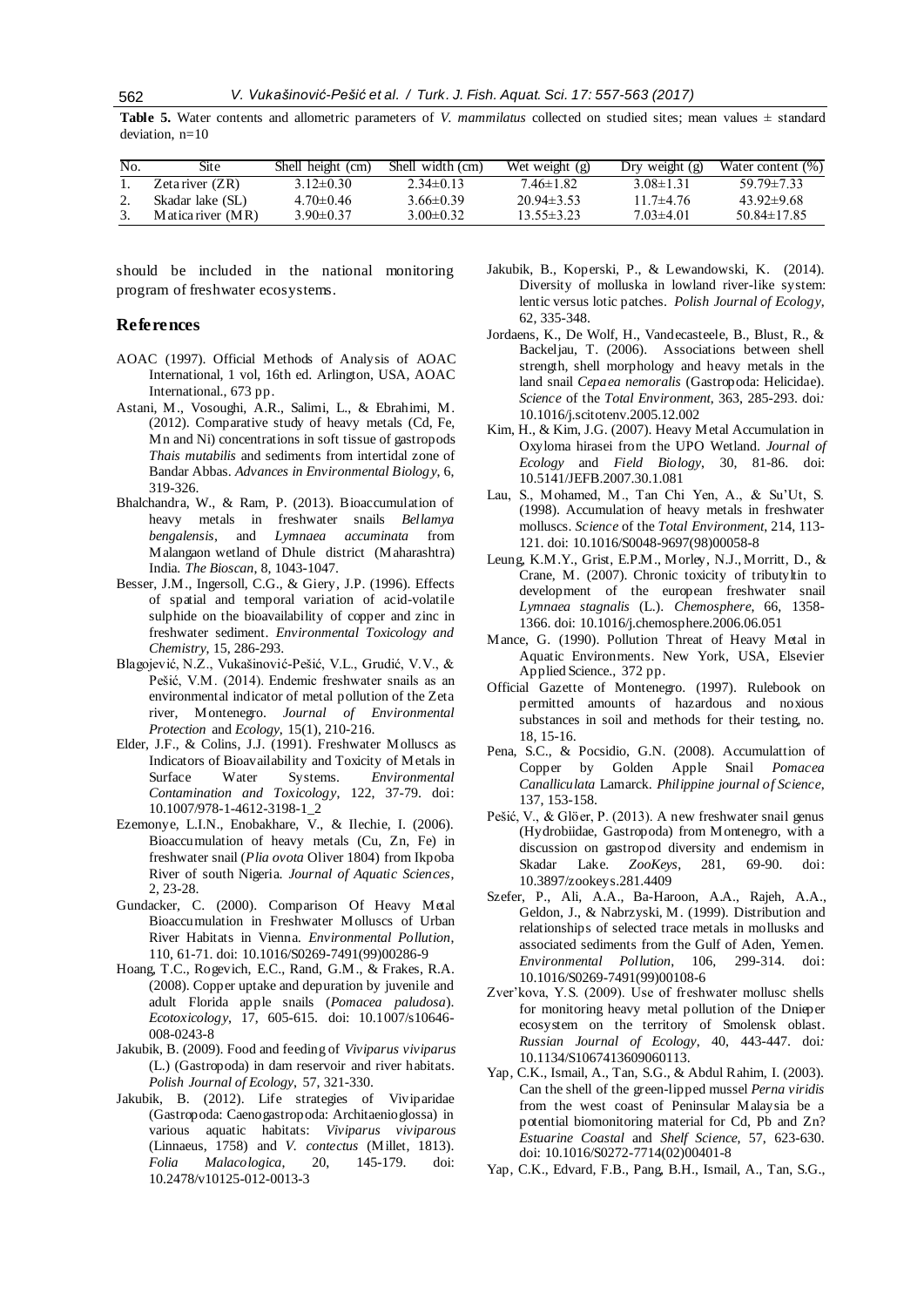**Table 5.** Water contents and allometric parameters of *V. mammilatus* collected on studied sites; mean values  $\pm$  standard deviation, n=10

| No. | Site              | Shell height (cm) | Shell width (cm) | Wet weight $(g)$ | Dry weight $(g)$ | Water content (%) |
|-----|-------------------|-------------------|------------------|------------------|------------------|-------------------|
|     | Zetariver (ZR)    | $3.12 \pm 0.30$   | $2.34\pm0.13$    | 746±182          | $3.08 \pm 1.31$  | $5979 \pm 733$    |
|     | Skadar lake (SL)  | $4.70 \pm 0.46$   | $3.66 \pm 0.39$  | $20.94\pm3.53$   | 11 7 $\pm$ 4 76  | $43.92 \pm 9.68$  |
|     | Matica river (MR) | $3.90 \pm 0.37$   | $3.00 \pm 0.32$  | $13.55 \pm 3.23$ | 7 03±4 01        | $50.84 \pm 17.85$ |

should be included in the national monitoring program of freshwater ecosystems.

#### **References**

- AOAC (1997). Official Methods of Analysis of AOAC International, 1 vol, 16th ed. Arlington, USA, AOAC International., 673 pp.
- Astani, M., Vosoughi, A.R., Salimi, L., & Ebrahimi, M. (2012). Comparative study of heavy metals (Cd, Fe, Mn and Ni) concentrations in soft tissue of gastropods *Thais mutabilis* and sediments from intertidal zone of Bandar Abbas. *Advances in Environmental Biology*, 6, 319-326.
- Bhalchandra, W., & Ram, P. (2013). Bioaccumulation of heavy metals in freshwater snails *Bellamya bengalensis*, and *Lymnaea accuminata* from Malangaon wetland of Dhule district (Maharashtra) India. *The Bioscan*, 8, 1043-1047.
- Besser, J.M., Ingersoll, C.G., & Giery, J.P. (1996). Effects of spatial and temporal variation of acid-volatile sulphide on the bioavailability of copper and zinc in freshwater sediment. *Environmental Toxicology and Chemistry*, 15, 286-293.
- Blagojević, N.Z., Vukašinović-Pešić, V.L., Grudić, V.V., & Pešić, V.M. (2014). Endemic freshwater snails as an environmental indicator of metal pollution of the Zeta river, Montenegro. *Journal of Environmental Protection* and *Ecology*, 15(1), 210-216.
- Elder, J.F., & Colins, J.J. (1991). Freshwater Molluscs as Indicators of Bioavailability and Toxicity of Metals in Surface Water Systems. *Environmental Contamination and Toxicology*, 122, 37-79. doi: 10.1007/978-1-4612-3198-1\_2
- Ezemonye, L.I.N., Enobakhare, V., & Ilechie, I. (2006). Bioaccumulation of heavy metals (Cu, Zn, Fe) in freshwater snail (*Plia ovota* Oliver 1804) from Ikpoba River of south Nigeria. *Journal of Aquatic Sciences*, 2, 23-28.
- Gundacker, C. (2000). Comparison Of Heavy Metal Bioaccumulation in Freshwater Molluscs of Urban River Habitats in Vienna*. Environmental Pollution*, 110, 61-71. doi: 10.1016/S0269-7491(99)00286-9
- Hoang, T.C., Rogevich, E.C., Rand, G.M., & Frakes, R.A. (2008). Copper uptake and depuration by juvenile and adult Florida apple snails (*Pomacea paludosa*). *Ecotoxicology*, 17, 605-615. doi: 10.1007/s10646- 008-0243-8
- Jakubik, B. (2009). Food and feeding of *Viviparus viviparus* (L.) (Gastropoda) in dam reservoir and river habitats. *Polish Journal of Ecology*, 57, 321-330.
- Jakubik, B. (2012). Life strategies of Viviparidae (Gastropoda: Caenogastropoda: Architaenioglossa) in various aquatic habitats: *Viviparus viviparous* (Linnaeus, 1758) and *V. contectus* (Millet, 1813). *Folia Malacologica*, 20, 145-179. doi: 10.2478/v10125-012-0013-3
- Jakubik, B., Koperski, P., & Lewandowski, K. (2014). Diversity of molluska in lowland river-like system: lentic versus lotic patches. *Polish Journal of Ecology*, 62, 335-348.
- Jordaens, K., De Wolf, H., Vandecasteele, B., Blust, R., & Backeljau, T. (2006). Associations between shell strength, shell morphology and heavy metals in the land snail *Cepaea nemoralis* (Gastropoda: Helicidae). *Science* of the *Total Environment*, 363, 285-293. doi*:* 10.1016/j.scitotenv.2005.12.002
- Kim, H., & Kim, J.G. (2007). Heavy Metal Accumulation in Oxyloma hirasei from the UPO Wetland. *Journal of Ecology* and *Field Biology*, 30, 81-86. doi: 10.5141/JEFB.2007.30.1.081
- Lau, S., Mohamed, M., Tan Chi Yen, A., & Su'Ut, S. (1998). Accumulation of heavy metals in freshwater molluscs. *Science* of the *Total Environment*, 214, 113- 121. doi: 10.1016/S0048-9697(98)00058-8
- Leung, K.M.Y., Grist, E.P.M., Morley, N.J., Morritt, D., & Crane, M. (2007). Chronic toxicity of tributyltin to development of the european freshwater snail *Lymnaea stagnalis* (L.). *Chemosphere*, 66, 1358- 1366. doi: 10.1016/j.chemosphere.2006.06.051
- Mance, G. (1990). Pollution Threat of Heavy Metal in Aquatic Environments. New York, USA, Elsevier Applied Science., 372 pp.
- Official Gazette of Montenegro. (1997). Rulebook on permitted amounts of hazardous and noxious substances in soil and methods for their testing, no. 18, 15-16.
- Pena, S.C., & Pocsidio, G.N. (2008). Accumulattion of Copper by Golden Apple Snail *Pomacea Canalliculata* Lamarck. *Philippine journal of Science*, 137, 153-158.
- Pešić, V., & Glöer, P. (2013). A new freshwater snail genus (Hydrobiidae, Gastropoda) from Montenegro, with a discussion on gastropod diversity and endemism in Skadar Lake. *ZooKeys*, 281, 69-90. doi: 10.3897/zookeys.281.4409
- Szefer, P., Ali, A.A., Ba-Haroon, A.A., Rajeh, A.A., Geldon, J., & Nabrzyski, M. (1999). Distribution and relationships of selected trace metals in mollusks and associated sediments from the Gulf of Aden, Yemen. *Environmental Pollution*, 106, 299-314. doi: 10.1016/S0269-7491(99)00108-6
- Zver'kova, Y.S. (2009). Use of freshwater mollusc shells for monitoring heavy metal pollution of the Dnieper ecosystem on the territory of Smolensk oblast. *Russian Journal of Ecology*, 40, 443-447. doi*:* 10.1134/S1067413609060113.
- Yap, C.K., Ismail, A., Tan, S.G., & Abdul Rahim, I. (2003). Can the shell of the green-lipped mussel *Perna viridis* from the west coast of Peninsular Malaysia be a potential biomonitoring material for Cd, Pb and Zn? *Estuarine Coastal* and *Shelf Science*, 57, 623-630. doi: 10.1016/S0272-7714(02)00401-8
- Yap, C.K., Edvard, F.B., Pang, B.H., Ismail, A., Tan, S.G.,